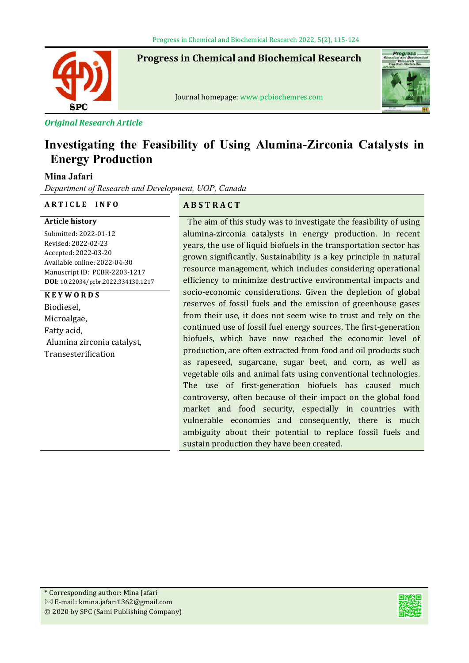**Progress in Chemical and Biochemical Research**



Journal homepage: www.pcbiochemres.com



*Original Research Article*

# **Investigating the Feasibility of Using Alumina-Zirconia Catalysts in Energy Production**

## **Mina Jafari**

*Department of Research and Development, UOP, Canada*

#### **A R T I C L E I N F O A B S T R A C T**

**Article history** Submitted: 2022-01-12 Revised: 2022-02-23 Accepted: 2022-03-20 Available online: 2022-04-30 Manuscript ID: PCBR-2203-1217 **DOI**: 10.22034/pcbr.2022.334130.1217

# **K E Y W O R D S**

Biodiesel, Microalgae, Fatty acid, Alumina zirconia catalyst, Transesterification

The aim of this study was to investigate the feasibility of using alumina-zirconia catalysts in energy production. In recent years, the use of liquid biofuels in the transportation sector has grown significantly. Sustainability is a key principle in natural resource management, which includes considering operational efficiency to minimize destructive environmental impacts and socio-economic considerations. Given the depletion of global reserves of fossil fuels and the emission of greenhouse gases from their use, it does not seem wise to trust and rely on the continued use of fossil fuel energy sources. The first-generation biofuels, which have now reached the economic level of production, are often extracted from food and oil products such as rapeseed, sugarcane, sugar beet, and corn, as well as vegetable oils and animal fats using conventional technologies. The use of first-generation biofuels has caused much controversy, often because of their impact on the global food market and food security, especially in countries with vulnerable economies and consequently, there is much ambiguity about their potential to replace fossil fuels and sustain production they have been created.

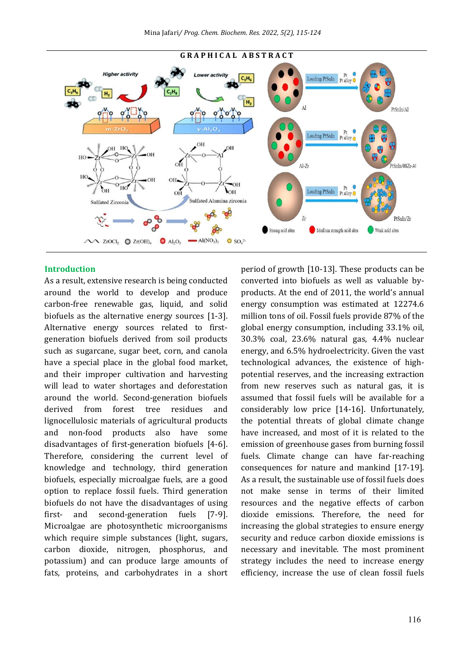

#### **Introduction**

As a result, extensive research is being conducted around the world to develop and produce carbon-free renewable gas, liquid, and solid biofuels as the alternative energy sources [1-3]. Alternative energy sources related to firstgeneration biofuels derived from soil products such as sugarcane, sugar beet, corn, and canola have a special place in the global food market, and their improper cultivation and harvesting will lead to water shortages and deforestation around the world. Second-generation biofuels derived from forest tree residues and lignocellulosic materials of agricultural products and non-food products also have some disadvantages of first-generation biofuels [4-6]. Therefore, considering the current level of knowledge and technology, third generation biofuels, especially microalgae fuels, are a good option to replace fossil fuels. Third generation biofuels do not have the disadvantages of using first- and second-generation fuels [7-9]. Microalgae are photosynthetic microorganisms which require simple substances (light, sugars, carbon dioxide, nitrogen, phosphorus, and potassium) and can produce large amounts of fats, proteins, and carbohydrates in a short period of growth [10-13]. These products can be converted into biofuels as well as valuable byproducts. At the end of 2011, the world's annual energy consumption was estimated at 12274.6 million tons of oil. Fossil fuels provide 87% of the global energy consumption, including 33.1% oil, 30.3% coal, 23.6% natural gas, 4.4% nuclear energy, and 6.5% hydroelectricity. Given the vast technological advances, the existence of highpotential reserves, and the increasing extraction from new reserves such as natural gas, it is assumed that fossil fuels will be available for a considerably low price [14-16]. Unfortunately, the potential threats of global climate change have increased, and most of it is related to the emission of greenhouse gases from burning fossil fuels. Climate change can have far-reaching consequences for nature and mankind [17-19]. As a result, the sustainable use of fossil fuels does not make sense in terms of their limited resources and the negative effects of carbon dioxide emissions. Therefore, the need for increasing the global strategies to ensure energy security and reduce carbon dioxide emissions is necessary and inevitable. The most prominent strategy includes the need to increase energy efficiency, increase the use of clean fossil fuels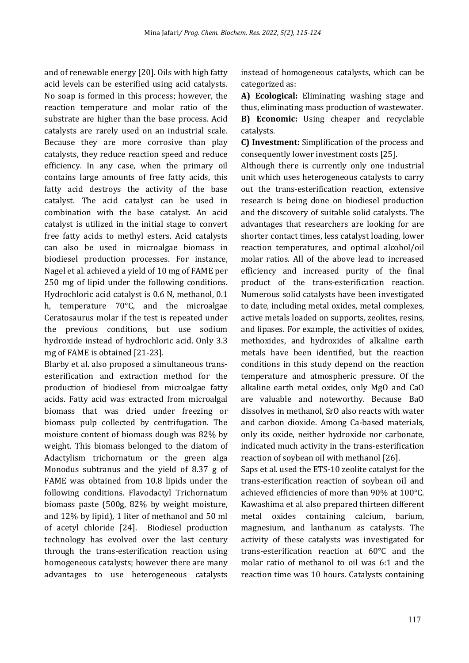and of renewable energy [20]. Oils with high fatty acid levels can be esterified using acid catalysts. No soap is formed in this process; however, the reaction temperature and molar ratio of the substrate are higher than the base process. Acid catalysts are rarely used on an industrial scale. Because they are more corrosive than play catalysts, they reduce reaction speed and reduce efficiency. In any case, when the primary oil contains large amounts of free fatty acids, this fatty acid destroys the activity of the base catalyst. The acid catalyst can be used in combination with the base catalyst. An acid catalyst is utilized in the initial stage to convert free fatty acids to methyl esters. Acid catalysts can also be used in microalgae biomass in biodiesel production processes. For instance, Nagel et al. achieved a yield of 10 mg of FAME per 250 mg of lipid under the following conditions. Hydrochloric acid catalyst is 0.6 N, methanol, 0.1 h, temperature 70°C, and the microalgae Ceratosaurus molar if the test is repeated under the previous conditions, but use sodium hydroxide instead of hydrochloric acid. Only 3.3 mg of FAME is obtained [21-23].

Blarby et al. also proposed a simultaneous transesterification and extraction method for the production of biodiesel from microalgae fatty acids. Fatty acid was extracted from microalgal biomass that was dried under freezing or biomass pulp collected by centrifugation. The moisture content of biomass dough was 82% by weight. This biomass belonged to the diatom of Adactylism trichornatum or the green alga Monodus subtranus and the yield of 8.37 g of FAME was obtained from 10.8 lipids under the following conditions. Flavodactyl Trichornatum biomass paste (500g, 82% by weight moisture, and 12% by lipid), 1 liter of methanol and 50 ml of acetyl chloride [24]. Biodiesel production technology has evolved over the last century through the trans-esterification reaction using homogeneous catalysts; however there are many advantages to use heterogeneous catalysts instead of homogeneous catalysts, which can be categorized as:

**A) Ecological:** Eliminating washing stage and thus, eliminating mass production of wastewater. **B) Economic:** Using cheaper and recyclable catalysts.

**C) Investment:** Simplification of the process and consequently lower investment costs [25].

Although there is currently only one industrial unit which uses heterogeneous catalysts to carry out the trans-esterification reaction, extensive research is being done on biodiesel production and the discovery of suitable solid catalysts. The advantages that researchers are looking for are shorter contact times, less catalyst loading, lower reaction temperatures, and optimal alcohol/oil molar ratios. All of the above lead to increased efficiency and increased purity of the final product of the trans-esterification reaction. Numerous solid catalysts have been investigated to date, including metal oxides, metal complexes, active metals loaded on supports, zeolites, resins, and lipases. For example, the activities of oxides, methoxides, and hydroxides of alkaline earth metals have been identified, but the reaction conditions in this study depend on the reaction temperature and atmospheric pressure. Of the alkaline earth metal oxides, only MgO and CaO are valuable and noteworthy. Because BaO dissolves in methanol, SrO also reacts with water and carbon dioxide. Among Ca-based materials, only its oxide, neither hydroxide nor carbonate, indicated much activity in the trans-esterification reaction of soybean oil with methanol [26].

Saps et al. used the ETS-10 zeolite catalyst for the trans-esterification reaction of soybean oil and achieved eficiencies of more than 90% at 100°C. Kawashima et al. also prepared thirteen different metal oxides containing calcium, barium, magnesium, and lanthanum as catalysts. The activity of these catalysts was investigated for trans-esteriication reaction at 60°C and the molar ratio of methanol to oil was 6:1 and the reaction time was 10 hours. Catalysts containing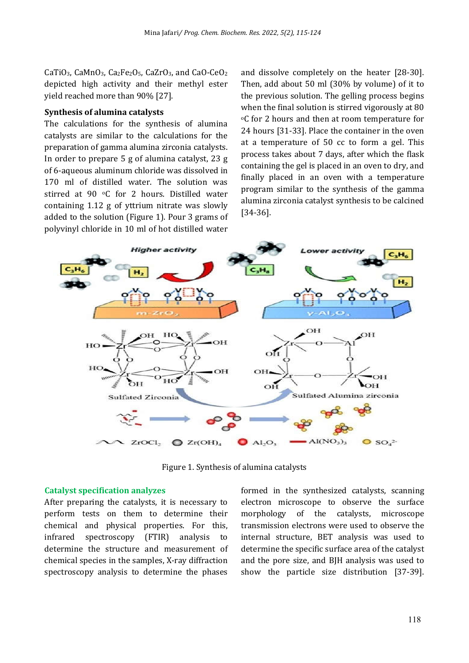CaTiO<sub>3</sub>, CaMnO<sub>3</sub>, Ca<sub>2</sub>Fe<sub>2</sub>O<sub>5</sub>, CaZrO<sub>3</sub>, and CaO-CeO<sub>2</sub> depicted high activity and their methyl ester yield reached more than 90% [27].

#### **Synthesis of alumina catalysts**

The calculations for the synthesis of alumina catalysts are similar to the calculations for the preparation of gamma alumina zirconia catalysts. In order to prepare 5 g of alumina catalyst, 23 g of 6-aqueous aluminum chloride was dissolved in 170 ml of distilled water. The solution was stirred at 90 °C for 2 hours. Distilled water containing 1.12 g of yttrium nitrate was slowly added to the solution (Figure 1). Pour 3 grams of polyvinyl chloride in 10 ml of hot distilled water

and dissolve completely on the heater [28-30]. Then, add about 50 ml (30% by volume) of it to the previous solution. The gelling process begins when the final solution is stirred vigorously at 80 oC for 2 hours and then at room temperature for 24 hours [31-33]. Place the container in the oven at a temperature of 50 cc to form a gel. This process takes about 7 days, after which the lask containing the gel is placed in an oven to dry, and finally placed in an oven with a temperature program similar to the synthesis of the gamma alumina zirconia catalyst synthesis to be calcined [34-36].



Figure 1. Synthesis of alumina catalysts

#### **Catalyst specification analyzes**

After preparing the catalysts, it is necessary to perform tests on them to determine their chemical and physical properties. For this, infrared spectroscopy (FTIR) analysis to determine the structure and measurement of chemical species in the samples, X-ray diffraction spectroscopy analysis to determine the phases

formed in the synthesized catalysts, scanning electron microscope to observe the surface morphology of the catalysts, microscope transmission electrons were used to observe the internal structure, BET analysis was used to determine the specific surface area of the catalyst and the pore size, and BJH analysis was used to show the particle size distribution [37-39].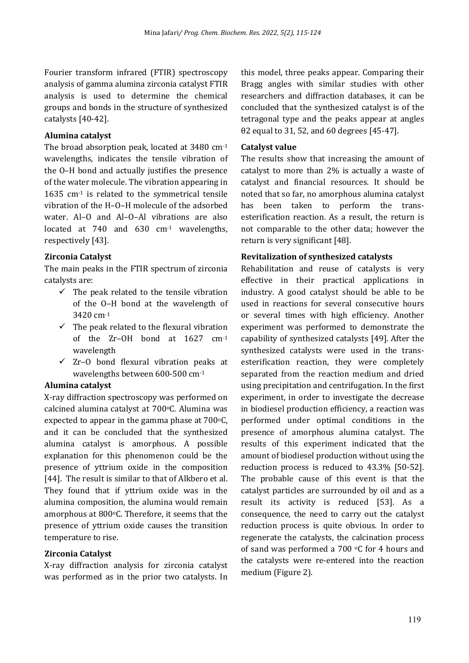Fourier transform infrared (FTIR) spectroscopy analysis of gamma alumina zirconia catalyst FTIR analysis is used to determine the chemical groups and bonds in the structure of synthesized catalysts [40-42].

#### **Alumina catalyst**

The broad absorption peak, located at 3480 cm-1 wavelengths, indicates the tensile vibration of the O–H bond and actually justifies the presence of the water molecule. The vibration appearing in 1635 cm-1 is related to the symmetrical tensile vibration of the H–O–H molecule of the adsorbed water. Al-O and Al-O-Al vibrations are also located at 740 and 630 cm<sup>-1</sup> wavelengths, respectively [43].

#### **Zirconia Catalyst**

The main peaks in the FTIR spectrum of zirconia catalysts are:

- $\checkmark$  The peak related to the tensile vibration of the O–H bond at the wavelength of 3420 cm-1
- $\checkmark$  The peak related to the flexural vibration of the Zr–OH bond at 1627 cm-1 wavelength
- $\checkmark$  Zr-O bond flexural vibration peaks at wavelengths between 600-500 cm-1

#### **Alumina catalyst**

X-ray diffraction spectroscopy was performed on calcined alumina catalyst at 700°C. Alumina was expected to appear in the gamma phase at  $700^{\circ}$ C, and it can be concluded that the synthesized alumina catalyst is amorphous. A possible explanation for this phenomenon could be the presence of yttrium oxide in the composition [44]. The result is similar to that of Alkbero et al. They found that if yttrium oxide was in the alumina composition, the alumina would remain amorphous at 800°C. Therefore, it seems that the presence of yttrium oxide causes the transition temperature to rise.

#### **Zirconia Catalyst**

X-ray diffraction analysis for zirconia catalyst was performed as in the prior two catalysts. In this model, three peaks appear. Comparing their Bragg angles with similar studies with other researchers and diffraction databases, it can be concluded that the synthesized catalyst is of the tetragonal type and the peaks appear at angles θ2 equal to 31, 52, and 60 degrees [45-47].

#### **Catalyst value**

The results show that increasing the amount of catalyst to more than 2% is actually a waste of catalyst and financial resources. It should be noted that so far, no amorphous alumina catalyst has been taken to perform the transesterification reaction. As a result, the return is not comparable to the other data; however the return is very significant [48].

#### **Revitalization of synthesized catalysts**

Rehabilitation and reuse of catalysts is very effective in their practical applications in industry. A good catalyst should be able to be used in reactions for several consecutive hours or several times with high efficiency. Another experiment was performed to demonstrate the capability of synthesized catalysts [49]. After the synthesized catalysts were used in the transesterification reaction, they were completely separated from the reaction medium and dried using precipitation and centrifugation. In the first experiment, in order to investigate the decrease in biodiesel production efficiency, a reaction was performed under optimal conditions in the presence of amorphous alumina catalyst. The results of this experiment indicated that the amount of biodiesel production without using the reduction process is reduced to 43.3% [50-52]. The probable cause of this event is that the catalyst particles are surrounded by oil and as a result its activity is reduced [53]. As a consequence, the need to carry out the catalyst reduction process is quite obvious. In order to regenerate the catalysts, the calcination process of sand was performed a 700 oC for 4 hours and the catalysts were re-entered into the reaction medium (Figure 2).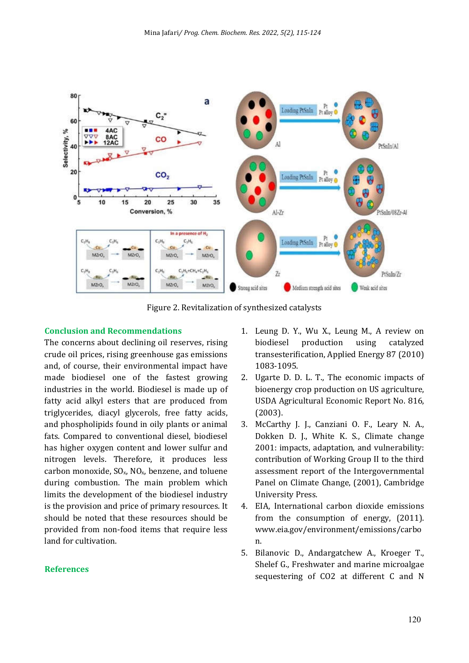

Figure 2. Revitalization of synthesized catalysts

#### **Conclusion and Recommendations**

The concerns about declining oil reserves, rising crude oil prices, rising greenhouse gas emissions and, of course, their environmental impact have made biodiesel one of the fastest growing industries in the world. Biodiesel is made up of fatty acid alkyl esters that are produced from triglycerides, diacyl glycerols, free fatty acids, and phospholipids found in oily plants or animal fats. Compared to conventional diesel, biodiesel has higher oxygen content and lower sulfur and nitrogen levels. Therefore, it produces less carbon monoxide,  $SO_x$ ,  $NO_x$ , benzene, and toluene during combustion. The main problem which limits the development of the biodiesel industry is the provision and price of primary resources. It should be noted that these resources should be provided from non-food items that require less land for cultivation.

#### **References**

- 1. Leung D. Y., Wu X., Leung M., A review on biodiesel production using catalyzed transesteriication, Applied Energy 87 (2010) 1083-1095.
- 2. Ugarte D. D. L. T., The economic impacts of bioenergy crop production on US agriculture, USDA Agricultural Economic Report No. 816, (2003).
- 3. McCarthy J. J., Canziani O. F., Leary N. A., Dokken D. J., White K. S., Climate change 2001: impacts, adaptation, and vulnerability: contribution of Working Group II to the third assessment report of the Intergovernmental Panel on Climate Change, (2001), Cambridge University Press.
- 4. EIA, International carbon dioxide emissions from the consumption of energy, (2011). www.eia.gov/environment/emissions/carbo n.
- 5. Bilanovic D., Andargatchew A., Kroeger T., Shelef G., Freshwater and marine microalgae sequestering of CO2 at different C and N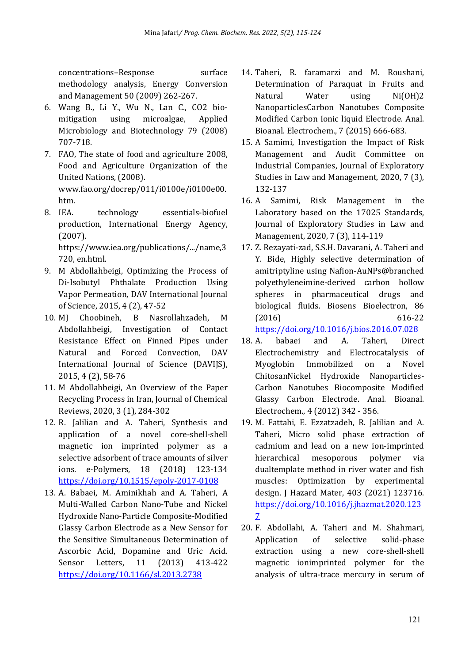concentrations–Response surface methodology analysis, Energy Conversion and Management 50 (2009) 262-267.

- 6. Wang B., Li Y., Wu N., Lan C., CO2 biomitigation using microalgae, Applied Microbiology and Biotechnology 79 (2008) 707-718.
- 7. FAO, The state of food and agriculture 2008, Food and Agriculture Organization of the United Nations, (2008). www.fao.org/docrep/011/i0100e/i0100e00. htm.
- 8. IEA. technology essentials-biofuel production, International Energy Agency, (2007).

https://www.iea.org/publications/.../name,3 720, en.html.

- 9. M Abdollahbeigi, Optimizing the Process of Di-Isobutyl Phthalate Production Using Vapor Permeation, DAV International Journal of Science, 2015, 4 (2), 47-52
- 10. MJ Choobineh, B Nasrollahzadeh, M Abdollahbeigi, Investigation of Contact Resistance Effect on Finned Pipes under Natural and Forced Convection, DAV International Journal of Science (DAVIJS), 2015, 4 (2), 58-76
- 11. M Abdollahbeigi, An Overview of the Paper Recycling Process in Iran, Journal of Chemical Reviews, 2020, 3 (1), 284-302
- 12. R. Jalilian and A. Taheri, Synthesis and application of a novel core-shell-shell magnetic ion imprinted polymer as a selective adsorbent of trace amounts of silver ions. e-Polymers, 18 (2018) 123-134 https://doi.org/10.1515/epoly-2017-0108
- 13. A. Babaei, M. Aminikhah and A. Taheri, A Multi-Walled Carbon Nano-Tube and Nickel Hydroxide Nano-Particle Composite-Modified Glassy Carbon Electrode as a New Sensor for the Sensitive Simultaneous Determination of Ascorbic Acid, Dopamine and Uric Acid. Sensor Letters, 11 (2013) 413-422 https://doi.org/10.1166/sl.2013.2738
- 14. Taheri, R. faramarzi and M. Roushani, Determination of Paraquat in Fruits and Natural Water using Ni(OH)2 NanoparticlesCarbon Nanotubes Composite Modified Carbon Ionic liquid Electrode. Anal. Bioanal. Electrochem., 7 (2015) 666-683.
- 15. A Samimi, Investigation the Impact of Risk Management and Audit Committee on Industrial Companies, Journal of Exploratory Studies in Law and Management, 2020, 7 (3), 132-137
- 16. A Samimi, Risk Management in the Laboratory based on the 17025 Standards, Journal of Exploratory Studies in Law and Management, 2020, 7 (3), 114-119
- 17. Z. Rezayati-zad, S.S.H. Davarani, A. Taheri and Y. Bide, Highly selective determination of amitriptyline using Nafion-AuNPs@branched polyethyleneimine-derived carbon hollow spheres in pharmaceutical drugs and biological fluids. Biosens Bioelectron, 86 (2016) 616-22

https://doi.org/10.1016/j.bios.2016.07.028

- 18. A. babaei and A. Taheri, Direct Electrochemistry and Electrocatalysis of Myoglobin Immobilized on a Novel ChitosanNickel Hydroxide Nanoparticles-Carbon Nanotubes Biocomposite Modified Glassy Carbon Electrode. Anal. Bioanal. Electrochem., 4 (2012) 342 - 356.
- 19. M. Fattahi, E. Ezzatzadeh, R. Jalilian and A. Taheri, Micro solid phase extraction of cadmium and lead on a new ion-imprinted hierarchical mesoporous polymer via dualtemplate method in river water and fish muscles: Optimization by experimental design. J Hazard Mater, 403 (2021) 123716. https://doi.org/10.1016/j.jhazmat.2020.123 7
- 20. F. Abdollahi, A. Taheri and M. Shahmari, Application of selective solid-phase extraction using a new core-shell-shell magnetic ionimprinted polymer for the analysis of ultra-trace mercury in serum of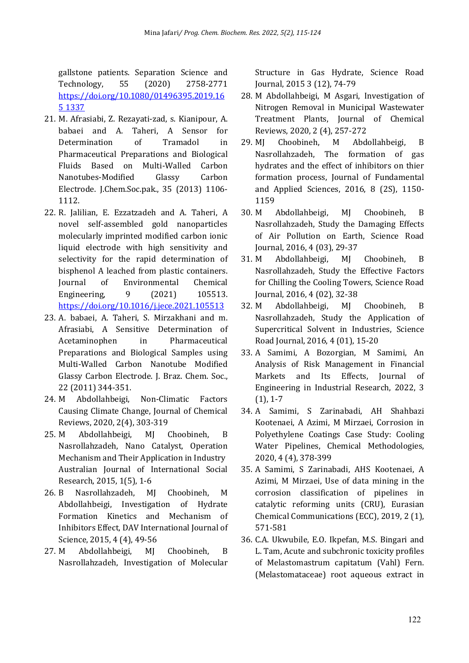gallstone patients. Separation Science and Technology, 55 (2020) 2758-2771 https://doi.org/10.1080/01496395.2019.16 5 1337

- 21. M. Afrasiabi, Z. Rezayati-zad, s. Kianipour, A. babaei and A. Taheri, A Sensor for Determination of Tramadol in Pharmaceutical Preparations and Biological Fluids Based on Multi-Walled Carbon Nanotubes-Modified Glassy Carbon Electrode. J.Chem.Soc.pak., 35 (2013) 1106- 1112.
- 22. R. Jalilian, E. Ezzatzadeh and A. Taheri, A novel self-assembled gold nanoparticles molecularly imprinted modified carbon ionic liquid electrode with high sensitivity and selectivity for the rapid determination of bisphenol A leached from plastic containers. Journal of Environmental Chemical Engineering, 9 (2021) 105513. https://doi.org/10.1016/j.jece.2021.105513
- 23. A. babaei, A. Taheri, S. Mirzakhani and m. Afrasiabi, A Sensitive Determination of Acetaminophen in Pharmaceutical Preparations and Biological Samples using Multi-Walled Carbon Nanotube Modified Glassy Carbon Electrode. J. Braz. Chem. Soc., 22 (2011) 344-351.
- 24. M Abdollahbeigi, Non-Climatic Factors Causing Climate Change, Journal of Chemical Reviews, 2020, 2(4), 303-319
- 25. M Abdollahbeigi, MJ Choobineh, B Nasrollahzadeh, Nano Catalyst, Operation Mechanism and Their Application in Industry Australian Journal of International Social Research, 2015, 1(5), 1-6
- 26. B Nasrollahzadeh, MJ Choobineh, M Abdollahbeigi, Investigation of Hydrate Formation Kinetics and Mechanism of Inhibitors Effect, DAV International Journal of Science, 2015, 4 (4), 49-56
- 27. M Abdollahbeigi, MJ Choobineh, B Nasrollahzadeh, Investigation of Molecular

Structure in Gas Hydrate, Science Road Journal, 2015 3 (12), 74-79

- 28. M Abdollahbeigi, M Asgari, Investigation of Nitrogen Removal in Municipal Wastewater Treatment Plants, Journal of Chemical Reviews, 2020, 2 (4), 257-272
- 29. MJ Choobineh, M Abdollahbeigi, B Nasrollahzadeh, The formation of gas hydrates and the effect of inhibitors on thier formation process, Journal of Fundamental and Applied Sciences, 2016, 8 (2S), 1150- 1159
- 30. M Abdollahbeigi, MJ Choobineh, B Nasrollahzadeh, Study the Damaging Effects of Air Pollution on Earth, Science Road Journal, 2016, 4 (03), 29-37
- 31. M Abdollahbeigi, MJ Choobineh, B Nasrollahzadeh, Study the Effective Factors for Chilling the Cooling Towers, Science Road Journal, 2016, 4 (02), 32-38
- 32. M Abdollahbeigi, MJ Choobineh, B Nasrollahzadeh, Study the Application of Supercritical Solvent in Industries, Science Road Journal, 2016, 4 (01), 15-20
- 33. A Samimi, A Bozorgian, M Samimi, An Analysis of Risk Management in Financial Markets and Its Effects, Journal of Engineering in Industrial Research, 2022, 3 (1), 1-7
- 34. A Samimi, S Zarinabadi, AH Shahbazi Kootenaei, A Azimi, M Mirzaei, Corrosion in Polyethylene Coatings Case Study: Cooling Water Pipelines, Chemical Methodologies, 2020, 4 (4), 378-399
- 35. A Samimi, S Zarinabadi, AHS Kootenaei, A Azimi, M Mirzaei, Use of data mining in the corrosion classification of pipelines in catalytic reforming units (CRU), Eurasian Chemical Communications (ECC), 2019, 2 (1), 571-581
- 36. C.A. Ukwubile, E.O. Ikpefan, M.S. Bingari and L. Tam, Acute and subchronic toxicity profiles of Melastomastrum capitatum (Vahl) Fern. (Melastomataceae) root aqueous extract in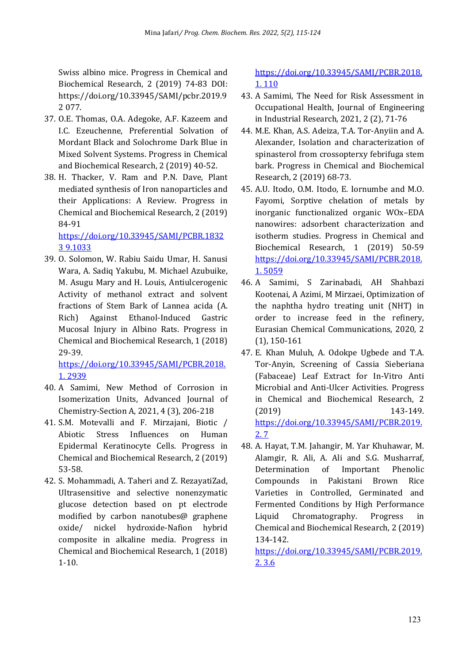Swiss albino mice. Progress in Chemical and Biochemical Research, 2 (2019) 74-83 DOI: https://doi.org/10.33945/SAMI/pcbr.2019.9 2 077.

- 37. O.E. Thomas, O.A. Adegoke, A.F. Kazeem and I.C. Ezeuchenne, Preferential Solvation of Mordant Black and Solochrome Dark Blue in Mixed Solvent Systems. Progress in Chemical and Biochemical Research, 2 (2019) 40-52.
- 38. H. Thacker, V. Ram and P.N. Dave, Plant mediated synthesis of Iron nanoparticles and their Applications: A Review. Progress in Chemical and Biochemical Research, 2 (2019) 84-91

https://doi.org/10.33945/SAMI/PCBR.1832 3 9.1033

39. O. Solomon, W. Rabiu Saidu Umar, H. Sanusi Wara, A. Sadiq Yakubu, M. Michael Azubuike, M. Asugu Mary and H. Louis, Antiulcerogenic Activity of methanol extract and solvent fractions of Stem Bark of Lannea acida (A. Rich) Against Ethanol-Induced Gastric Mucosal Injury in Albino Rats. Progress in Chemical and Biochemical Research, 1 (2018) 29-39.

https://doi.org/10.33945/SAMI/PCBR.2018. 1. 2939

- 40. A Samimi, New Method of Corrosion in Isomerization Units, Advanced Journal of Chemistry-Section A, 2021, 4 (3), 206-218
- 41. S.M. Motevalli and F. Mirzajani, Biotic / Abiotic Stress Influences on Human Epidermal Keratinocyte Cells. Progress in Chemical and Biochemical Research, 2 (2019) 53-58.
- 42. S. Mohammadi, A. Taheri and Z. RezayatiZad, Ultrasensitive and selective nonenzymatic glucose detection based on pt electrode modified by carbon nanotubes@ graphene oxide/ nickel hydroxide-Nafion hybrid composite in alkaline media. Progress in Chemical and Biochemical Research, 1 (2018) 1-10.

https://doi.org/10.33945/SAMI/PCBR.2018. 1. 110

- 43. A Samimi, The Need for Risk Assessment in Occupational Health, Journal of Engineering in Industrial Research, 2021, 2 (2), 71-76
- 44. M.E. Khan, A.S. Adeiza, T.A. Tor-Anyiin and A. Alexander, Isolation and characterization of spinasterol from crossopterxy febrifuga stem bark. Progress in Chemical and Biochemical Research, 2 (2019) 68-73.
- 45. A.U. Itodo, O.M. Itodo, E. Iornumbe and M.O. Fayomi, Sorptive chelation of metals by inorganic functionalized organic WOx–EDA nanowires: adsorbent characterization and isotherm studies. Progress in Chemical and Biochemical Research, 1 (2019) 50-59 https://doi.org/10.33945/SAMI/PCBR.2018. 1. 5059
- 46. A Samimi, S Zarinabadi, AH Shahbazi Kootenai, A Azimi, M Mirzaei, Optimization of the naphtha hydro treating unit (NHT) in order to increase feed in the refinery, Eurasian Chemical Communications, 2020, 2 (1), 150-161
- 47. E. Khan Muluh, A. Odokpe Ugbede and T.A. Tor-Anyin, Screening of Cassia Sieberiana (Fabaceae) Leaf Extract for In-Vitro Anti Microbial and Anti-Ulcer Activities. Progress in Chemical and Biochemical Research, 2 (2019) 143-149. https://doi.org/10.33945/SAMI/PCBR.2019. 2. 7
- 48. A. Hayat, T.M. Jahangir, M. Yar Khuhawar, M. Alamgir, R. Ali, A. Ali and S.G. Musharraf, Determination of Important Phenolic Compounds in Pakistani Brown Rice Varieties in Controlled, Germinated and Fermented Conditions by High Performance Liquid Chromatography. Progress in Chemical and Biochemical Research, 2 (2019) 134-142.

https://doi.org/10.33945/SAMI/PCBR.2019. 2. 3.6